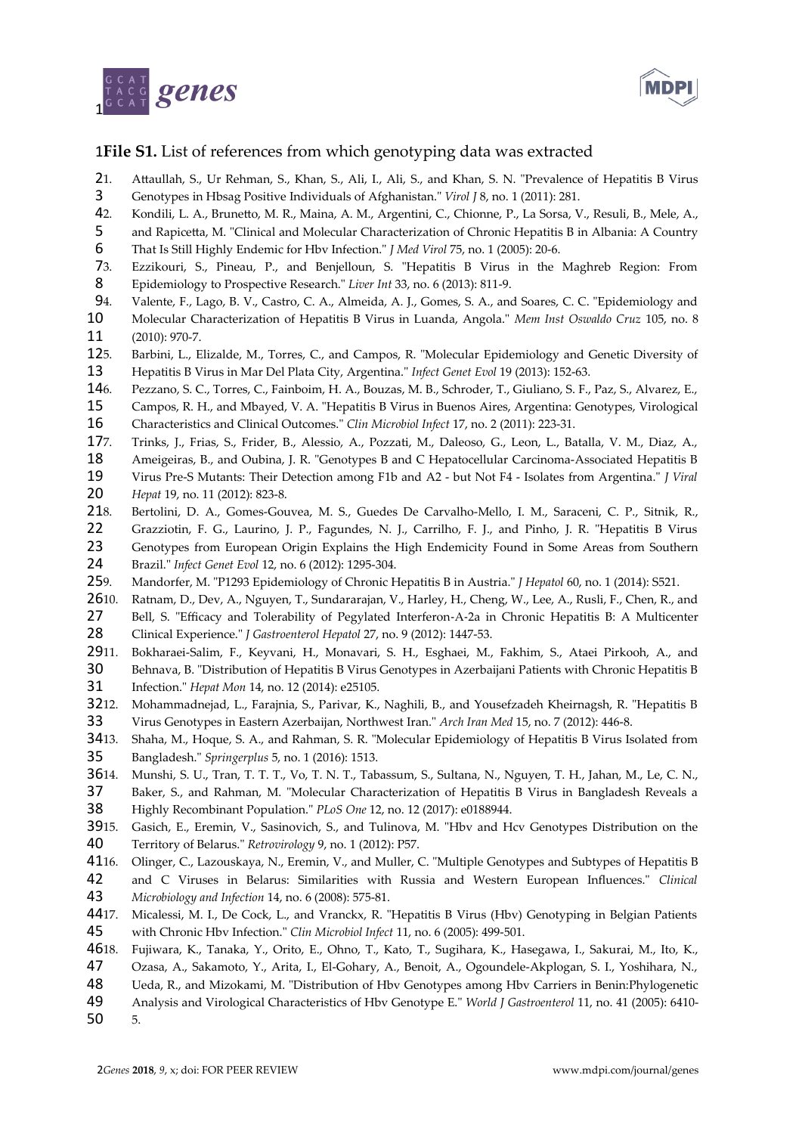



## **File S1.** List of references from which genotyping data was extracted 1

- 1. Attaullah, S., Ur Rehman, S., Khan, S., Ali, I., Ali, S., and Khan, S. N. "Prevalence of Hepatitis B Virus Genotypes in Hbsag Positive Individuals of Afghanistan." *Virol J* 8, no. 1 (2011): 281.  $21.$ 3
- 2. Kondili, L. A., Brunetto, M. R., Maina, A. M., Argentini, C., Chionne, P., La Sorsa, V., Resuli, B., Mele, A., 42.
- and Rapicetta, M. "Clinical and Molecular Characterization of Chronic Hepatitis B in Albania: A Country 5
- That Is Still Highly Endemic for Hbv Infection." *J Med Virol* 75, no. 1 (2005): 20-6. 6
- 3. Ezzikouri, S., Pineau, P., and Benjelloun, S. "Hepatitis B Virus in the Maghreb Region: From Epidemiology to Prospective Research." *Liver Int* 33, no. 6 (2013): 811-9.  $73.$ 8
- 4. Valente, F., Lago, B. V., Castro, C. A., Almeida, A. J., Gomes, S. A., and Soares, C. C. "Epidemiology and 94.
- Molecular Characterization of Hepatitis B Virus in Luanda, Angola." *Mem Inst Oswaldo Cruz* 105, no. 8 10
- (2010): 970-7. 11
- 5. Barbini, L., Elizalde, M., Torres, C., and Campos, R. "Molecular Epidemiology and Genetic Diversity of  $125.$ 13
- Hepatitis B Virus in Mar Del Plata City, Argentina." *Infect Genet Evol* 19 (2013): 152-63. 146.
- 6. Pezzano, S. C., Torres, C., Fainboim, H. A., Bouzas, M. B., Schroder, T., Giuliano, S. F., Paz, S., Alvarez, E., Campos, R. H., and Mbayed, V. A. "Hepatitis B Virus in Buenos Aires, Argentina: Genotypes, Virological 15
- Characteristics and Clinical Outcomes." *Clin Microbiol Infect* 17, no. 2 (2011): 223-31. 16
- Trinks, J., Frias, S., Frider, B., Alessio, A., Pozzati, M., Daleoso, G., Leon, L., Batalla, V. M., Diaz, A., 177.
- Ameigeiras, B., and Oubina, J. R. "Genotypes B and C Hepatocellular Carcinoma-Associated Hepatitis B 18
- Virus Pre-S Mutants: Their Detection among F1b and A2 but Not F4 Isolates from Argentina." *J Viral Hepat* 19, no. 11 (2012): 823-8. 19 20
- 8. Bertolini, D. A., Gomes-Gouvea, M. S., Guedes De Carvalho-Mello, I. M., Saraceni, C. P., Sitnik, R.,  $218$
- Grazziotin, F. G., Laurino, J. P., Fagundes, N. J., Carrilho, F. J., and Pinho, J. R. "Hepatitis B Virus Genotypes from European Origin Explains the High Endemicity Found in Some Areas from Southern 22 23
- Brazil." *Infect Genet Evol* 12, no. 6 (2012): 1295-304. 24
- 9. Mandorfer, M. "P1293 Epidemiology of Chronic Hepatitis B in Austria." *J Hepatol* 60, no. 1 (2014): S521. 259.
- Ratnam, D., Dev, A., Nguyen, T., Sundararajan, V., Harley, H., Cheng, W., Lee, A., Rusli, F., Chen, R., and 2610.
- Bell, S. "Efficacy and Tolerability of Pegylated Interferon‐Α‐2a in Chronic Hepatitis B: A Multicenter Clinical Experience." *J Gastroenterol Hepatol* 27, no. 9 (2012): 1447-53. 27 28
- 11. Bokharaei-Salim, F., Keyvani, H., Monavari, S. H., Esghaei, M., Fakhim, S., Ataei Pirkooh, A., and 2911.
- Behnava, B. "Distribution of Hepatitis B Virus Genotypes in Azerbaijani Patients with Chronic Hepatitis B Infection." *Hepat Mon* 14, no. 12 (2014): e25105. 30 31
- 12. Mohammadnejad, L., Farajnia, S., Parivar, K., Naghili, B., and Yousefzadeh Kheirnagsh, R. "Hepatitis B Virus Genotypes in Eastern Azerbaijan, Northwest Iran." *Arch Iran Med* 15, no. 7 (2012): 446-8. 3212. 33
- 13. Shaha, M., Hoque, S. A., and Rahman, S. R. "Molecular Epidemiology of Hepatitis B Virus Isolated from Bangladesh." *Springerplus* 5, no. 1 (2016): 1513. **34**13. 35
- 14. Munshi, S. U., Tran, T. T. T., Vo, T. N. T., Tabassum, S., Sultana, N., Nguyen, T. H., Jahan, M., Le, C. N., 3614.
- Baker, S., and Rahman, M. "Molecular Characterization of Hepatitis B Virus in Bangladesh Reveals a Highly Recombinant Population." *PLoS One* 12, no. 12 (2017): e0188944. 37 38
- 15. Gasich, E., Eremin, V., Sasinovich, S., and Tulinova, M. "Hbv and Hcv Genotypes Distribution on the 3915.
- Territory of Belarus." *Retrovirology* 9, no. 1 (2012): P57. 40
- 16. Olinger, C., Lazouskaya, N., Eremin, V., and Muller, C. "Multiple Genotypes and Subtypes of Hepatitis B 4116.
- and C Viruses in Belarus: Similarities with Russia and Western European Influences." *Clinical Microbiology and Infection* 14, no. 6 (2008): 575-81. 42 43
- 17. Micalessi, M. I., De Cock, L., and Vranckx, R. "Hepatitis B Virus (Hbv) Genotyping in Belgian Patients with Chronic Hbv Infection." *Clin Microbiol Infect* 11, no. 6 (2005): 499-501. 4417. 45
- 18. Fujiwara, K., Tanaka, Y., Orito, E., Ohno, T., Kato, T., Sugihara, K., Hasegawa, I., Sakurai, M., Ito, K., 4618.
- Ozasa, A., Sakamoto, Y., Arita, I., El-Gohary, A., Benoit, A., Ogoundele-Akplogan, S. I., Yoshihara, N., 47
- Ueda, R., and Mizokami, M. "Distribution of Hbv Genotypes among Hbv Carriers in Benin:Phylogenetic 48
- Analysis and Virological Characteristics of Hbv Genotype E." *World J Gastroenterol* 11, no. 41 (2005): 6410- 5. 49 50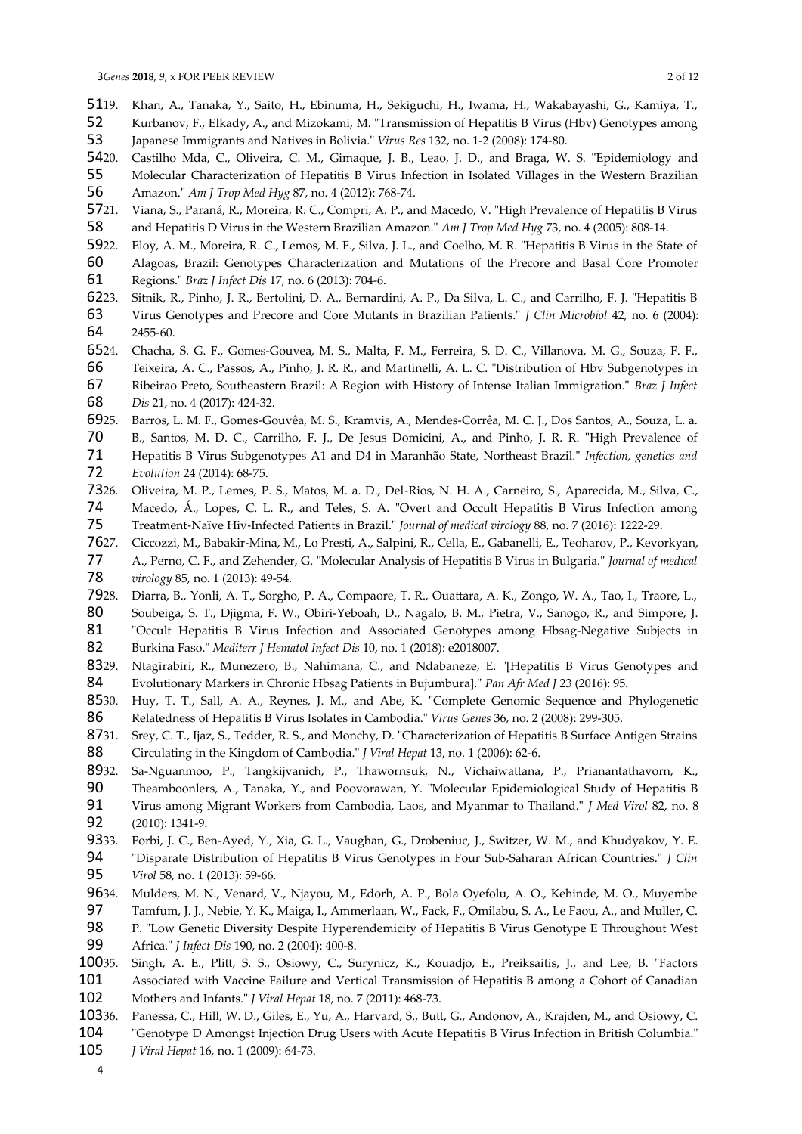- 19. Khan, A., Tanaka, Y., Saito, H., Ebinuma, H., Sekiguchi, H., Iwama, H., Wakabayashi, G., Kamiya, T., 5119.
- Kurbanov, F., Elkady, A., and Mizokami, M. "Transmission of Hepatitis B Virus (Hbv) Genotypes among 52
- Japanese Immigrants and Natives in Bolivia." *Virus Res* 132, no. 1-2 (2008): 174-80. 53
- 20. Castilho Mda, C., Oliveira, C. M., Gimaque, J. B., Leao, J. D., and Braga, W. S. "Epidemiology and Molecular Characterization of Hepatitis B Virus Infection in Isolated Villages in the Western Brazilian 5420. 55
- Amazon." *Am J Trop Med Hyg* 87, no. 4 (2012): 768-74. 56
- 21. Viana, S., Paraná, R., Moreira, R. C., Compri, A. P., and Macedo, V. "High Prevalence of Hepatitis B Virus 5721.
- and Hepatitis D Virus in the Western Brazilian Amazon." *Am J Trop Med Hyg* 73, no. 4 (2005): 808-14. 58
- 22. Eloy, A. M., Moreira, R. C., Lemos, M. F., Silva, J. L., and Coelho, M. R. "Hepatitis B Virus in the State of Alagoas, Brazil: Genotypes Characterization and Mutations of the Precore and Basal Core Promoter Regions." *Braz J Infect Dis* 17, no. 6 (2013): 704-6. 5922. 60 61
- 23. Sitnik, R., Pinho, J. R., Bertolini, D. A., Bernardini, A. P., Da Silva, L. C., and Carrilho, F. J. "Hepatitis B 6223.
- Virus Genotypes and Precore and Core Mutants in Brazilian Patients." *J Clin Microbiol* 42, no. 6 (2004): 2455-60. 63 64
- 24. Chacha, S. G. F., Gomes-Gouvea, M. S., Malta, F. M., Ferreira, S. D. C., Villanova, M. G., Souza, F. F., 6524.
- Teixeira, A. C., Passos, A., Pinho, J. R. R., and Martinelli, A. L. C. "Distribution of Hbv Subgenotypes in 66
- Ribeirao Preto, Southeastern Brazil: A Region with History of Intense Italian Immigration." *Braz J Infect Dis* 21, no. 4 (2017): 424-32. 67 68
- 25. Barros, L. M. F., Gomes-Gouvêa, M. S., Kramvis, A., Mendes-Corrêa, M. C. J., Dos Santos, A., Souza, L. a. 6925.
- B., Santos, M. D. C., Carrilho, F. J., De Jesus Domicini, A., and Pinho, J. R. R. "High Prevalence of Hepatitis B Virus Subgenotypes A1 and D4 in Maranhão State, Northeast Brazil." *Infection, genetics and Evolution* 24 (2014): 68-75. 70 71 72
- 26. Oliveira, M. P., Lemes, P. S., Matos, M. a. D., Del‐Rios, N. H. A., Carneiro, S., Aparecida, M., Silva, C., 7326.
- Macedo, Á., Lopes, C. L. R., and Teles, S. A. "Overt and Occult Hepatitis B Virus Infection among Treatment‐Naïve Hiv‐Infected Patients in Brazil." *Journal of medical virology* 88, no. 7 (2016): 1222-29. 74 75
- 27. Ciccozzi, M., Babakir‐Mina, M., Lo Presti, A., Salpini, R., Cella, E., Gabanelli, E., Teoharov, P., Kevorkyan, 7627.
- A., Perno, C. F., and Zehender, G. "Molecular Analysis of Hepatitis B Virus in Bulgaria." *Journal of medical virology* 85, no. 1 (2013): 49-54. 77 78
- 28. Diarra, B., Yonli, A. T., Sorgho, P. A., Compaore, T. R., Ouattara, A. K., Zongo, W. A., Tao, I., Traore, L., Soubeiga, S. T., Djigma, F. W., Obiri-Yeboah, D., Nagalo, B. M., Pietra, V., Sanogo, R., and Simpore, J. 7928. 80
- "Occult Hepatitis B Virus Infection and Associated Genotypes among Hbsag-Negative Subjects in Burkina Faso." *Mediterr J Hematol Infect Dis* 10, no. 1 (2018): e2018007. 81 82
- 29. Ntagirabiri, R., Munezero, B., Nahimana, C., and Ndabaneze, E. "[Hepatitis B Virus Genotypes and Evolutionary Markers in Chronic Hbsag Patients in Bujumbura]." *Pan Afr Med J* 23 (2016): 95. 8329. 84
- 30. Huy, T. T., Sall, A. A., Reynes, J. M., and Abe, K. "Complete Genomic Sequence and Phylogenetic Relatedness of Hepatitis B Virus Isolates in Cambodia." *Virus Genes* 36, no. 2 (2008): 299-305. 8530. 86
- Srey, C. T., Ijaz, S., Tedder, R. S., and Monchy, D. "Characterization of Hepatitis B Surface Antigen Strains Circulating in the Kingdom of Cambodia." *J Viral Hepat* 13, no. 1 (2006): 62-6. 8731. 88
- 32. Sa-Nguanmoo, P., Tangkijvanich, P., Thawornsuk, N., Vichaiwattana, P., Prianantathavorn, K., 8932.
- Theamboonlers, A., Tanaka, Y., and Poovorawan, Y. "Molecular Epidemiological Study of Hepatitis B Virus among Migrant Workers from Cambodia, Laos, and Myanmar to Thailand." *J Med Virol* 82, no. 8 90 91
- (2010): 1341-9. 92
- 33. Forbi, J. C., Ben-Ayed, Y., Xia, G. L., Vaughan, G., Drobeniuc, J., Switzer, W. M., and Khudyakov, Y. E. "Disparate Distribution of Hepatitis B Virus Genotypes in Four Sub-Saharan African Countries." *J Clin Virol* 58, no. 1 (2013): 59-66. 9333. 94 95
- 34. Mulders, M. N., Venard, V., Njayou, M., Edorh, A. P., Bola Oyefolu, A. O., Kehinde, M. O., Muyembe 9634.
- Tamfum, J. J., Nebie, Y. K., Maiga, I., Ammerlaan, W., Fack, F., Omilabu, S. A., Le Faou, A., and Muller, C. P. "Low Genetic Diversity Despite Hyperendemicity of Hepatitis B Virus Genotype E Throughout West Africa." *J Infect Dis* 190, no. 2 (2004): 400-8. 97 98 99
- 35. Singh, A. E., Plitt, S. S., Osiowy, C., Surynicz, K., Kouadjo, E., Preiksaitis, J., and Lee, B. "Factors Associated with Vaccine Failure and Vertical Transmission of Hepatitis B among a Cohort of Canadian 10035. 101
- Mothers and Infants." *J Viral Hepat* 18, no. 7 (2011): 468-73. 102
- 36. Panessa, C., Hill, W. D., Giles, E., Yu, A., Harvard, S., Butt, G., Andonov, A., Krajden, M., and Osiowy, C. 10336.
- "Genotype D Amongst Injection Drug Users with Acute Hepatitis B Virus Infection in British Columbia." *J Viral Hepat* 16, no. 1 (2009): 64-73. 104 105
	- 4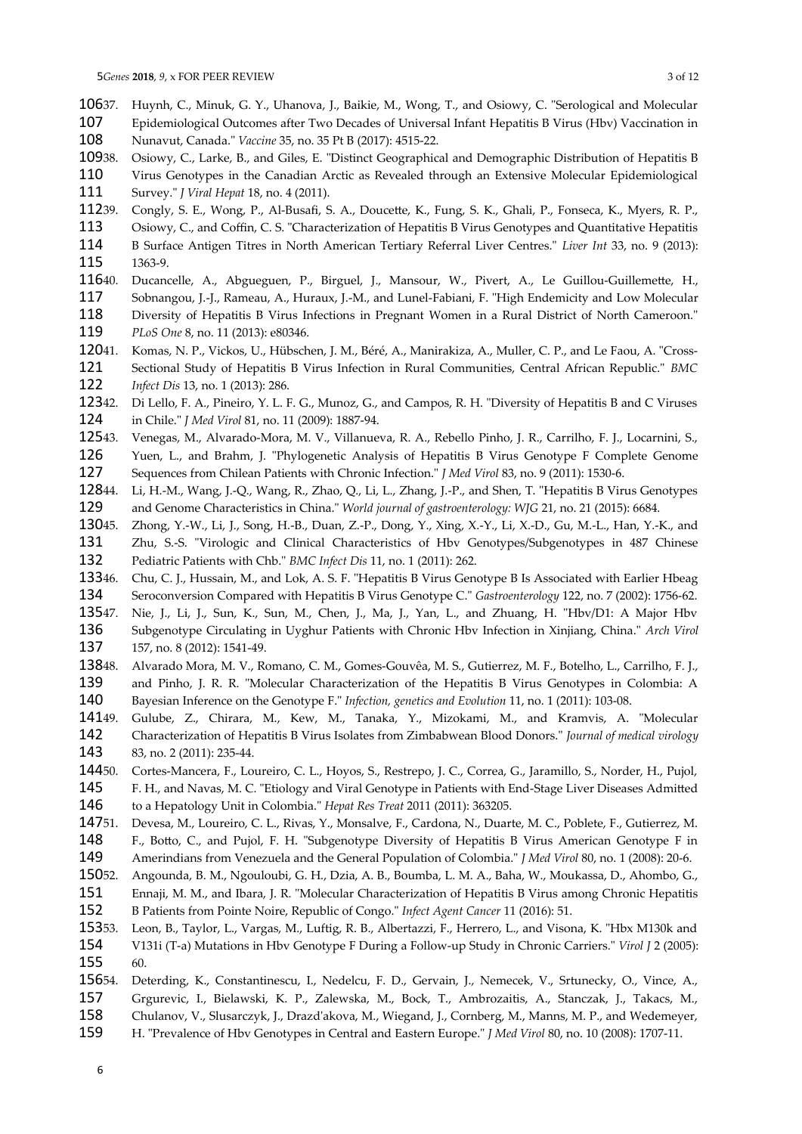- 37. Huynh, C., Minuk, G. Y., Uhanova, J., Baikie, M., Wong, T., and Osiowy, C. "Serological and Molecular Epidemiological Outcomes after Two Decades of Universal Infant Hepatitis B Virus (Hbv) Vaccination in 10637. 107
- Nunavut, Canada." *Vaccine* 35, no. 35 Pt B (2017): 4515-22. 108
- 38. Osiowy, C., Larke, B., and Giles, E. "Distinct Geographical and Demographic Distribution of Hepatitis B 10938.
- Virus Genotypes in the Canadian Arctic as Revealed through an Extensive Molecular Epidemiological Survey." *J Viral Hepat* 18, no. 4 (2011). 110 111
- 39. Congly, S. E., Wong, P., Al-Busafi, S. A., Doucette, K., Fung, S. K., Ghali, P., Fonseca, K., Myers, R. P., 11239.
- Osiowy, C., and Coffin, C. S. "Characterization of Hepatitis B Virus Genotypes and Quantitative Hepatitis B Surface Antigen Titres in North American Tertiary Referral Liver Centres." *Liver Int* 33, no. 9 (2013): 1363-9. 113 114 115
- Ducancelle, A., Abgueguen, P., Birguel, J., Mansour, W., Pivert, A., Le Guillou-Guillemette, H., Sobnangou, J.-J., Rameau, A., Huraux, J.-M., and Lunel-Fabiani, F. "High Endemicity and Low Molecular 11640. 117
- Diversity of Hepatitis B Virus Infections in Pregnant Women in a Rural District of North Cameroon." *PLoS One* 8, no. 11 (2013): e80346. 118 119
- 41. Komas, N. P., Vickos, U., Hübschen, J. M., Béré, A., Manirakiza, A., Muller, C. P., and Le Faou, A. "Cross-Sectional Study of Hepatitis B Virus Infection in Rural Communities, Central African Republic." *BMC Infect Dis* 13, no. 1 (2013): 286. 12041. 121 122
- 42. Di Lello, F. A., Pineiro, Y. L. F. G., Munoz, G., and Campos, R. H. "Diversity of Hepatitis B and C Viruses in Chile." *J Med Virol* 81, no. 11 (2009): 1887-94. 12342. 124
- 43. Venegas, M., Alvarado-Mora, M. V., Villanueva, R. A., Rebello Pinho, J. R., Carrilho, F. J., Locarnini, S., 12543.
- Yuen, L., and Brahm, J. "Phylogenetic Analysis of Hepatitis B Virus Genotype F Complete Genome Sequences from Chilean Patients with Chronic Infection." *J Med Virol* 83, no. 9 (2011): 1530-6. 126 127
- 44. Li, H.-M., Wang, J.-Q., Wang, R., Zhao, Q., Li, L., Zhang, J.-P., and Shen, T. "Hepatitis B Virus Genotypes and Genome Characteristics in China." *World journal of gastroenterology: WJG* 21, no. 21 (2015): 6684. 12844. 129
- 45. Zhong, Y.-W., Li, J., Song, H.-B., Duan, Z.-P., Dong, Y., Xing, X.-Y., Li, X.-D., Gu, M.-L., Han, Y.-K., and Zhu, S.-S. "Virologic and Clinical Characteristics of Hbv Genotypes/Subgenotypes in 487 Chinese Pediatric Patients with Chb." *BMC Infect Dis* 11, no. 1 (2011): 262. 13045. 131 132
- 46. Chu, C. J., Hussain, M., and Lok, A. S. F. "Hepatitis B Virus Genotype B Is Associated with Earlier Hbeag Seroconversion Compared with Hepatitis B Virus Genotype C." *Gastroenterology* 122, no. 7 (2002): 1756-62. 13346. 134
- Nie, J., Li, J., Sun, K., Sun, M., Chen, J., Ma, J., Yan, L., and Zhuang, H. "Hbv/D1: A Major Hbv 13547.
- Subgenotype Circulating in Uyghur Patients with Chronic Hbv Infection in Xinjiang, China." *Arch Virol* 157, no. 8 (2012): 1541-49. 136 137
- 48. Alvarado Mora, M. V., Romano, C. M., Gomes-Gouvêa, M. S., Gutierrez, M. F., Botelho, L., Carrilho, F. J., 13848.
- and Pinho, J. R. R. "Molecular Characterization of the Hepatitis B Virus Genotypes in Colombia: A 139
- Bayesian Inference on the Genotype F." *Infection, genetics and Evolution* 11, no. 1 (2011): 103-08. 140
- 49. Gulube, Z., Chirara, M., Kew, M., Tanaka, Y., Mizokami, M., and Kramvis, A. "Molecular Characterization of Hepatitis B Virus Isolates from Zimbabwean Blood Donors." *Journal of medical virology* 83, no. 2 (2011): 235-44. 14149 142 143
- 50. Cortes-Mancera, F., Loureiro, C. L., Hoyos, S., Restrepo, J. C., Correa, G., Jaramillo, S., Norder, H., Pujol, 14450.
- F. H., and Navas, M. C. "Etiology and Viral Genotype in Patients with End-Stage Liver Diseases Admitted to a Hepatology Unit in Colombia." *Hepat Res Treat* 2011 (2011): 363205. 145 146
- 51. Devesa, M., Loureiro, C. L., Rivas, Y., Monsalve, F., Cardona, N., Duarte, M. C., Poblete, F., Gutierrez, M. 14751.
- F., Botto, C., and Pujol, F. H. "Subgenotype Diversity of Hepatitis B Virus American Genotype F in Amerindians from Venezuela and the General Population of Colombia." *J Med Virol* 80, no. 1 (2008): 20-6. 148 149
- 52. Angounda, B. M., Ngouloubi, G. H., Dzia, A. B., Boumba, L. M. A., Baha, W., Moukassa, D., Ahombo, G., 15052.
- Ennaji, M. M., and Ibara, J. R. "Molecular Characterization of Hepatitis B Virus among Chronic Hepatitis 151
- B Patients from Pointe Noire, Republic of Congo." *Infect Agent Cancer* 11 (2016): 51. 152
- 53. Leon, B., Taylor, L., Vargas, M., Luftig, R. B., Albertazzi, F., Herrero, L., and Visona, K. "Hbx M130k and V131i (T-a) Mutations in Hbv Genotype F During a Follow-up Study in Chronic Carriers." *Virol J* 2 (2005): 60. 15353. 154 155
- Deterding, K., Constantinescu, I., Nedelcu, F. D., Gervain, J., Nemecek, V., Srtunecky, O., Vince, A., Grgurevic, I., Bielawski, K. P., Zalewska, M., Bock, T., Ambrozaitis, A., Stanczak, J., Takacs, M., Chulanov, V., Slusarczyk, J., Drazd'akova, M., Wiegand, J., Cornberg, M., Manns, M. P., and Wedemeyer, 15654. 157 158
- H. "Prevalence of Hbv Genotypes in Central and Eastern Europe." *J Med Virol* 80, no. 10 (2008): 1707-11. 159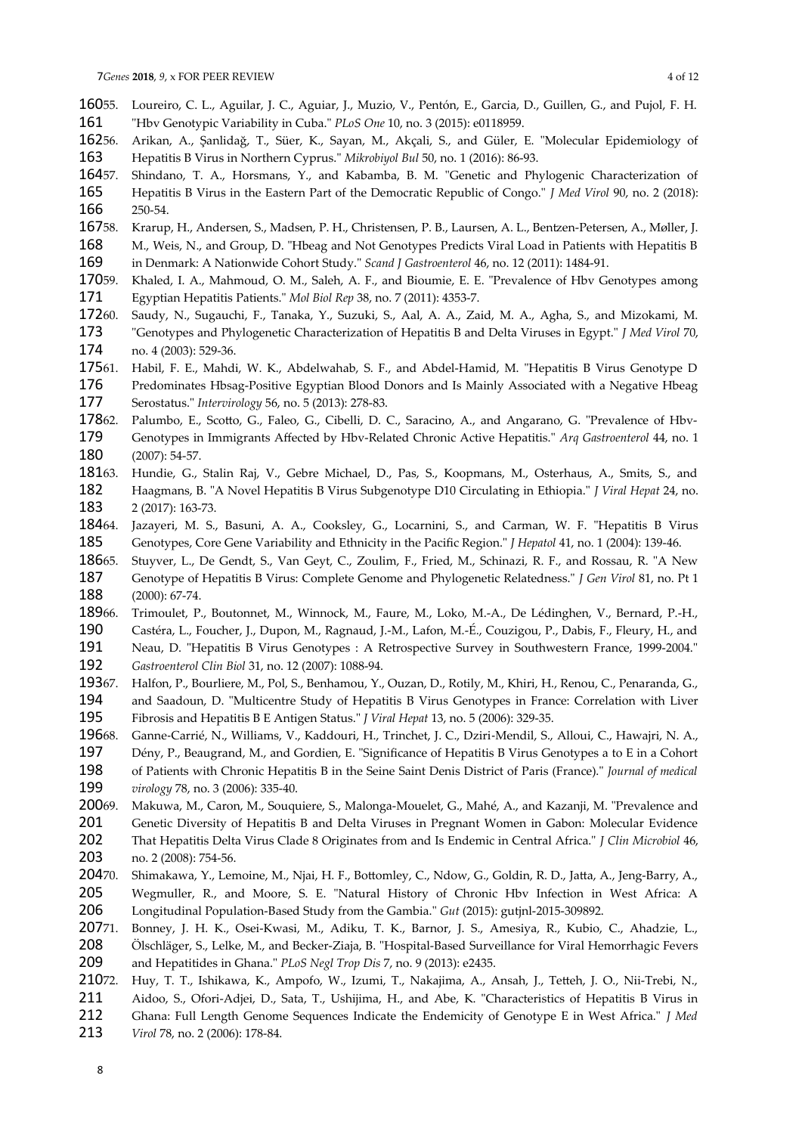- 55. Loureiro, C. L., Aguilar, J. C., Aguiar, J., Muzio, V., Pentón, E., Garcia, D., Guillen, G., and Pujol, F. H. "Hbv Genotypic Variability in Cuba." *PLoS One* 10, no. 3 (2015): e0118959. 16055. 161
- 56. Arikan, A., Şanlidağ, T., Süer, K., Sayan, M., Akçali, S., and Güler, E. "Molecular Epidemiology of Hepatitis B Virus in Northern Cyprus." *Mikrobiyol Bul* 50, no. 1 (2016): 86-93. 16256. 163
- 57. Shindano, T. A., Horsmans, Y., and Kabamba, B. M. "Genetic and Phylogenic Characterization of Hepatitis B Virus in the Eastern Part of the Democratic Republic of Congo." *J Med Virol* 90, no. 2 (2018): 250-54. 16457. 165 166
- 58. Krarup, H., Andersen, S., Madsen, P. H., Christensen, P. B., Laursen, A. L., Bentzen-Petersen, A., Møller, J. 16758.
- M., Weis, N., and Group, D. "Hbeag and Not Genotypes Predicts Viral Load in Patients with Hepatitis B in Denmark: A Nationwide Cohort Study." *Scand J Gastroenterol* 46, no. 12 (2011): 1484-91. 168 169
- 59. Khaled, I. A., Mahmoud, O. M., Saleh, A. F., and Bioumie, E. E. "Prevalence of Hbv Genotypes among Egyptian Hepatitis Patients." *Mol Biol Rep* 38, no. 7 (2011): 4353-7. 17059. 171
- 60. Saudy, N., Sugauchi, F., Tanaka, Y., Suzuki, S., Aal, A. A., Zaid, M. A., Agha, S., and Mizokami, M. "Genotypes and Phylogenetic Characterization of Hepatitis B and Delta Viruses in Egypt." *J Med Virol* 70, no. 4 (2003): 529-36. 17260. 173 174
- 61. Habil, F. E., Mahdi, W. K., Abdelwahab, S. F., and Abdel-Hamid, M. "Hepatitis B Virus Genotype D Predominates Hbsag-Positive Egyptian Blood Donors and Is Mainly Associated with a Negative Hbeag Serostatus." *Intervirology* 56, no. 5 (2013): 278-83. 17561. 176 177
- Palumbo, E., Scotto, G., Faleo, G., Cibelli, D. C., Saracino, A., and Angarano, G. "Prevalence of Hbv-17862.
- Genotypes in Immigrants Affected by Hbv-Related Chronic Active Hepatitis." *Arq Gastroenterol* 44, no. 1 (2007): 54-57. 179 180
- Hundie, G., Stalin Raj, V., Gebre Michael, D., Pas, S., Koopmans, M., Osterhaus, A., Smits, S., and Haagmans, B. "A Novel Hepatitis B Virus Subgenotype D10 Circulating in Ethiopia." *J Viral Hepat* 24, no. 2 (2017): 163-73. 18163. 182 183
- Jazayeri, M. S., Basuni, A. A., Cooksley, G., Locarnini, S., and Carman, W. F. "Hepatitis B Virus Genotypes, Core Gene Variability and Ethnicity in the Pacific Region." *J Hepatol* 41, no. 1 (2004): 139-46. 18464. 185
- 65. Stuyver, L., De Gendt, S., Van Geyt, C., Zoulim, F., Fried, M., Schinazi, R. F., and Rossau, R. "A New 18665
- Genotype of Hepatitis B Virus: Complete Genome and Phylogenetic Relatedness." *J Gen Virol* 81, no. Pt 1 (2000): 67-74. 187 188
- 66. Trimoulet, P., Boutonnet, M., Winnock, M., Faure, M., Loko, M.-A., De Lédinghen, V., Bernard, P.-H., Castéra, L., Foucher, J., Dupon, M., Ragnaud, J.-M., Lafon, M.-É., Couzigou, P., Dabis, F., Fleury, H., and 18966. 190
- Neau, D. "Hepatitis B Virus Genotypes : A Retrospective Survey in Southwestern France, 1999-2004." *Gastroenterol Clin Biol* 31, no. 12 (2007): 1088-94. 191 192
- 67. Halfon, P., Bourliere, M., Pol, S., Benhamou, Y., Ouzan, D., Rotily, M., Khiri, H., Renou, C., Penaranda, G., and Saadoun, D. "Multicentre Study of Hepatitis B Virus Genotypes in France: Correlation with Liver Fibrosis and Hepatitis B E Antigen Status." *J Viral Hepat* 13, no. 5 (2006): 329-35. 19367. 194 195
- 68. Ganne‐Carrié, N., Williams, V., Kaddouri, H., Trinchet, J. C., Dziri‐Mendil, S., Alloui, C., Hawajri, N. A., 19668.
- Dény, P., Beaugrand, M., and Gordien, E. "Significance of Hepatitis B Virus Genotypes a to E in a Cohort 197
- of Patients with Chronic Hepatitis B in the Seine Saint Denis District of Paris (France)." *Journal of medical virology* 78, no. 3 (2006): 335-40. 198 199
- 69. Makuwa, M., Caron, M., Souquiere, S., Malonga-Mouelet, G., Mahé, A., and Kazanji, M. "Prevalence and Genetic Diversity of Hepatitis B and Delta Viruses in Pregnant Women in Gabon: Molecular Evidence That Hepatitis Delta Virus Clade 8 Originates from and Is Endemic in Central Africa." *J Clin Microbiol* 46, 20069. 201 202
- no. 2 (2008): 754-56. 203
- 70. Shimakawa, Y., Lemoine, M., Njai, H. F., Bottomley, C., Ndow, G., Goldin, R. D., Jatta, A., Jeng-Barry, A., Wegmuller, R., and Moore, S. E. "Natural History of Chronic Hbv Infection in West Africa: A 20470. 205
- Longitudinal Population-Based Study from the Gambia." *Gut* (2015): gutjnl-2015-309892. 206
- Bonney, J. H. K., Osei-Kwasi, M., Adiku, T. K., Barnor, J. S., Amesiya, R., Kubio, C., Ahadzie, L., Ölschläger, S., Lelke, M., and Becker-Ziaja, B. "Hospital-Based Surveillance for Viral Hemorrhagic Fevers and Hepatitides in Ghana." *PLoS Negl Trop Dis* 7, no. 9 (2013): e2435. 20771. 208 209
- 72. Huy, T. T., Ishikawa, K., Ampofo, W., Izumi, T., Nakajima, A., Ansah, J., Tetteh, J. O., Nii-Trebi, N., 21072.
- Aidoo, S., Ofori-Adjei, D., Sata, T., Ushijima, H., and Abe, K. "Characteristics of Hepatitis B Virus in 211
- Ghana: Full Length Genome Sequences Indicate the Endemicity of Genotype E in West Africa." *J Med* 212
- *Virol* 78, no. 2 (2006): 178-84. 213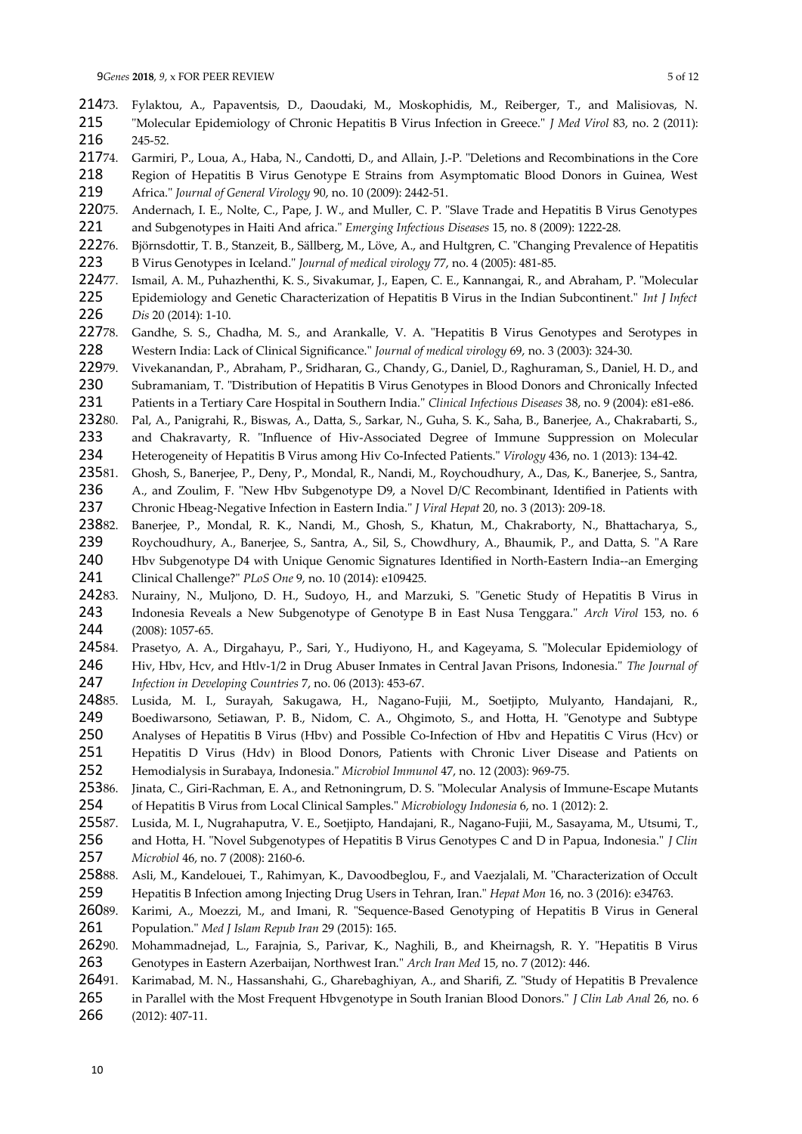- 73. Fylaktou, A., Papaventsis, D., Daoudaki, M., Moskophidis, M., Reiberger, T., and Malisiovas, N. "Molecular Epidemiology of Chronic Hepatitis B Virus Infection in Greece." *J Med Virol* 83, no. 2 (2011): 245-52. 21473. 215 216
- 74. Garmiri, P., Loua, A., Haba, N., Candotti, D., and Allain, J.-P. "Deletions and Recombinations in the Core 21774.
- Region of Hepatitis B Virus Genotype E Strains from Asymptomatic Blood Donors in Guinea, West Africa." *Journal of General Virology* 90, no. 10 (2009): 2442-51. 218 219
- 75. Andernach, I. E., Nolte, C., Pape, J. W., and Muller, C. P. "Slave Trade and Hepatitis B Virus Genotypes and Subgenotypes in Haiti And africa." *Emerging Infectious Diseases* 15, no. 8 (2009): 1222-28. 22075. 221
- 76. Björnsdottir, T. B., Stanzeit, B., Sällberg, M., Löve, A., and Hultgren, C. "Changing Prevalence of Hepatitis B Virus Genotypes in Iceland." *Journal of medical virology* 77, no. 4 (2005): 481-85. 22276. 223
- 77. Ismail, A. M., Puhazhenthi, K. S., Sivakumar, J., Eapen, C. E., Kannangai, R., and Abraham, P. "Molecular 22477.
- Epidemiology and Genetic Characterization of Hepatitis B Virus in the Indian Subcontinent." *Int J Infect Dis* 20 (2014): 1-10. 225 226
- Gandhe, S. S., Chadha, M. S., and Arankalle, V. A. "Hepatitis B Virus Genotypes and Serotypes in Western India: Lack of Clinical Significance." *Journal of medical virology* 69, no. 3 (2003): 324-30. 22778. 228
- Vivekanandan, P., Abraham, P., Sridharan, G., Chandy, G., Daniel, D., Raghuraman, S., Daniel, H. D., and Subramaniam, T. "Distribution of Hepatitis B Virus Genotypes in Blood Donors and Chronically Infected 22979. 230
- Patients in a Tertiary Care Hospital in Southern India." *Clinical Infectious Diseases* 38, no. 9 (2004): e81-e86. 231
- 80. Pal, A., Panigrahi, R., Biswas, A., Datta, S., Sarkar, N., Guha, S. K., Saha, B., Banerjee, A., Chakrabarti, S., 23280.
- and Chakravarty, R. "Influence of Hiv-Associated Degree of Immune Suppression on Molecular Heterogeneity of Hepatitis B Virus among Hiv Co-Infected Patients." *Virology* 436, no. 1 (2013): 134-42. 233 234
- 81. Ghosh, S., Banerjee, P., Deny, P., Mondal, R., Nandi, M., Roychoudhury, A., Das, K., Banerjee, S., Santra, 23581.
- A., and Zoulim, F. "New Hbv Subgenotype D9, a Novel D/C Recombinant, Identified in Patients with Chronic Hbeag‐Negative Infection in Eastern India." *J Viral Hepat* 20, no. 3 (2013): 209-18. 236 237
- 82. Banerjee, P., Mondal, R. K., Nandi, M., Ghosh, S., Khatun, M., Chakraborty, N., Bhattacharya, S., 23882. 239
- Roychoudhury, A., Banerjee, S., Santra, A., Sil, S., Chowdhury, A., Bhaumik, P., and Datta, S. "A Rare Hbv Subgenotype D4 with Unique Genomic Signatures Identified in North-Eastern India--an Emerging 240
- Clinical Challenge?" *PLoS One* 9, no. 10 (2014): e109425. 241
- 83. Nurainy, N., Muljono, D. H., Sudoyo, H., and Marzuki, S. "Genetic Study of Hepatitis B Virus in Indonesia Reveals a New Subgenotype of Genotype B in East Nusa Tenggara." *Arch Virol* 153, no. 6 (2008): 1057-65. 24283. 243 244
- 84. Prasetyo, A. A., Dirgahayu, P., Sari, Y., Hudiyono, H., and Kageyama, S. "Molecular Epidemiology of Hiv, Hbv, Hcv, and Htlv-1/2 in Drug Abuser Inmates in Central Javan Prisons, Indonesia." *The Journal of Infection in Developing Countries* 7, no. 06 (2013): 453-67. 24584. 246 247
- 85. Lusida, M. I., Surayah, Sakugawa, H., Nagano-Fujii, M., Soetjipto, Mulyanto, Handajani, R., Boediwarsono, Setiawan, P. B., Nidom, C. A., Ohgimoto, S., and Hotta, H. "Genotype and Subtype 24885. 249
- Analyses of Hepatitis B Virus (Hbv) and Possible Co-Infection of Hbv and Hepatitis C Virus (Hcv) or 250
- Hepatitis D Virus (Hdv) in Blood Donors, Patients with Chronic Liver Disease and Patients on 251
- Hemodialysis in Surabaya, Indonesia." *Microbiol Immunol* 47, no. 12 (2003): 969-75. 252
- Jinata, C., Giri-Rachman, E. A., and Retnoningrum, D. S. "Molecular Analysis of Immune-Escape Mutants of Hepatitis B Virus from Local Clinical Samples." *Microbiology Indonesia* 6, no. 1 (2012): 2. 25386. 254
- 87. Lusida, M. I., Nugrahaputra, V. E., Soetjipto, Handajani, R., Nagano-Fujii, M., Sasayama, M., Utsumi, T., 25587.
- and Hotta, H. "Novel Subgenotypes of Hepatitis B Virus Genotypes C and D in Papua, Indonesia." *J Clin Microbiol* 46, no. 7 (2008): 2160-6. 256 257
- 88. Asli, M., Kandelouei, T., Rahimyan, K., Davoodbeglou, F., and Vaezjalali, M. "Characterization of Occult 25888.
- Hepatitis B Infection among Injecting Drug Users in Tehran, Iran." *Hepat Mon* 16, no. 3 (2016): e34763. 259
- 89. Karimi, A., Moezzi, M., and Imani, R. "Sequence-Based Genotyping of Hepatitis B Virus in General Population." *Med J Islam Repub Iran* 29 (2015): 165. 26089. 261
- 90. Mohammadnejad, L., Farajnia, S., Parivar, K., Naghili, B., and Kheirnagsh, R. Y. "Hepatitis B Virus Genotypes in Eastern Azerbaijan, Northwest Iran." *Arch Iran Med* 15, no. 7 (2012): 446. 26290. 263
- 91. Karimabad, M. N., Hassanshahi, G., Gharebaghiyan, A., and Sharifi, Z. "Study of Hepatitis B Prevalence 26491.
- in Parallel with the Most Frequent Hbvgenotype in South Iranian Blood Donors." *J Clin Lab Anal* 26, no. 6 265
- (2012): 407-11. 266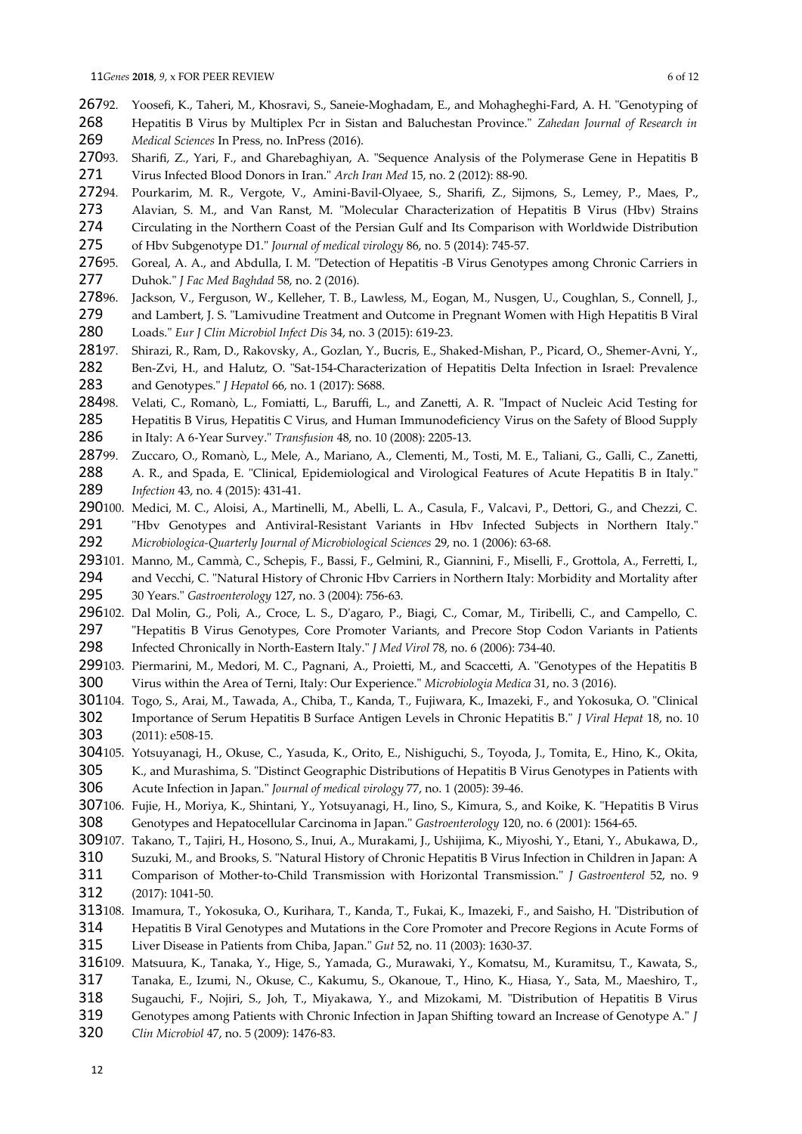- 92. Yoosefi, K., Taheri, M., Khosravi, S., Saneie-Moghadam, E., and Mohagheghi-Fard, A. H. "Genotyping of Hepatitis B Virus by Multiplex Pcr in Sistan and Baluchestan Province." *Zahedan Journal of Research in Medical Sciences* In Press, no. InPress (2016). 26792. 268 269
- 93. Sharifi, Z., Yari, F., and Gharebaghiyan, A. "Sequence Analysis of the Polymerase Gene in Hepatitis B Virus Infected Blood Donors in Iran." *Arch Iran Med* 15, no. 2 (2012): 88-90. 27093. 271
- 94. Pourkarim, M. R., Vergote, V., Amini‐Bavil‐Olyaee, S., Sharifi, Z., Sijmons, S., Lemey, P., Maes, P., Alavian, S. M., and Van Ranst, M. "Molecular Characterization of Hepatitis B Virus (Hbv) Strains Circulating in the Northern Coast of the Persian Gulf and Its Comparison with Worldwide Distribution 27294. 273 274
- of Hbv Subgenotype D1." *Journal of medical virology* 86, no. 5 (2014): 745-57. 275
- Goreal, A. A., and Abdulla, I. M. "Detection of Hepatitis -B Virus Genotypes among Chronic Carriers in Duhok." *J Fac Med Baghdad* 58, no. 2 (2016). 27695. 277
- Jackson, V., Ferguson, W., Kelleher, T. B., Lawless, M., Eogan, M., Nusgen, U., Coughlan, S., Connell, J., 27896.
- and Lambert, J. S. "Lamivudine Treatment and Outcome in Pregnant Women with High Hepatitis B Viral Loads." *Eur J Clin Microbiol Infect Dis* 34, no. 3 (2015): 619-23. 279 280
- 97. Shirazi, R., Ram, D., Rakovsky, A., Gozlan, Y., Bucris, E., Shaked-Mishan, P., Picard, O., Shemer-Avni, Y., 28197.
- Ben-Zvi, H., and Halutz, O. "Sat-154-Characterization of Hepatitis Delta Infection in Israel: Prevalence and Genotypes." *J Hepatol* 66, no. 1 (2017): S688. 282 283
- 98. Velati, C., Romanò, L., Fomiatti, L., Baruffi, L., and Zanetti, A. R. "Impact of Nucleic Acid Testing for Hepatitis B Virus, Hepatitis C Virus, and Human Immunodeficiency Virus on the Safety of Blood Supply 28498. 285 286
- in Italy: A 6‐Year Survey." *Transfusion* 48, no. 10 (2008): 2205-13.
- 99. Zuccaro, O., Romanò, L., Mele, A., Mariano, A., Clementi, M., Tosti, M. E., Taliani, G., Galli, C., Zanetti, A. R., and Spada, E. "Clinical, Epidemiological and Virological Features of Acute Hepatitis B in Italy." *Infection* 43, no. 4 (2015): 431-41. 28799. 288 289
- 290100. Medici, M. C., Aloisi, A., Martinelli, M., Abelli, L. A., Casula, F., Valcavi, P., Dettori, G., and Chezzi, C. "Hbv Genotypes and Antiviral-Resistant Variants in Hbv Infected Subjects in Northern Italy." *Microbiologica-Quarterly Journal of Microbiological Sciences* 29, no. 1 (2006): 63-68. 291 292
- 293101. Manno, M., Cammà, C., Schepis, F., Bassi, F., Gelmini, R., Giannini, F., Miselli, F., Grottola, A., Ferretti, I.,
- and Vecchi, C. "Natural History of Chronic Hbv Carriers in Northern Italy: Morbidity and Mortality after 30 Years." *Gastroenterology* 127, no. 3 (2004): 756-63. 294 295
- 296102. Dal Molin, G., Poli, A., Croce, L. S., D'agaro, P., Biagi, C., Comar, M., Tiribelli, C., and Campello, C. "Hepatitis B Virus Genotypes, Core Promoter Variants, and Precore Stop Codon Variants in Patients 297

Infected Chronically in North-Eastern Italy." *J Med Virol* 78, no. 6 (2006): 734-40. 298

- 299103. Piermarini, M., Medori, M. C., Pagnani, A., Proietti, M., and Scaccetti, A. "Genotypes of the Hepatitis B Virus within the Area of Terni, Italy: Our Experience." *Microbiologia Medica* 31, no. 3 (2016). 300
- 301104. Togo, S., Arai, M., Tawada, A., Chiba, T., Kanda, T., Fujiwara, K., Imazeki, F., and Yokosuka, O. "Clinical Importance of Serum Hepatitis B Surface Antigen Levels in Chronic Hepatitis B." *J Viral Hepat* 18, no. 10 (2011): e508-15. 302 303
- 304105. Yotsuyanagi, H., Okuse, C., Yasuda, K., Orito, E., Nishiguchi, S., Toyoda, J., Tomita, E., Hino, K., Okita, K., and Murashima, S. "Distinct Geographic Distributions of Hepatitis B Virus Genotypes in Patients with 305

Acute Infection in Japan." *Journal of medical virology* 77, no. 1 (2005): 39-46. 306

- 307106. Fujie, H., Moriya, K., Shintani, Y., Yotsuyanagi, H., Iino, S., Kimura, S., and Koike, K. "Hepatitis B Virus Genotypes and Hepatocellular Carcinoma in Japan." *Gastroenterology* 120, no. 6 (2001): 1564-65. 308
- 309107. Takano, T., Tajiri, H., Hosono, S., Inui, A., Murakami, J., Ushijima, K., Miyoshi, Y., Etani, Y., Abukawa, D.,
- Suzuki, M., and Brooks, S. "Natural History of Chronic Hepatitis B Virus Infection in Children in Japan: A 310
- Comparison of Mother-to-Child Transmission with Horizontal Transmission." *J Gastroenterol* 52, no. 9 (2017): 1041-50. 311 312
- 313108. Imamura, T., Yokosuka, O., Kurihara, T., Kanda, T., Fukai, K., Imazeki, F., and Saisho, H. "Distribution of Hepatitis B Viral Genotypes and Mutations in the Core Promoter and Precore Regions in Acute Forms of Liver Disease in Patients from Chiba, Japan." *Gut* 52, no. 11 (2003): 1630-37. 314 315
- 316109. Matsuura, K., Tanaka, Y., Hige, S., Yamada, G., Murawaki, Y., Komatsu, M., Kuramitsu, T., Kawata, S.,
- Tanaka, E., Izumi, N., Okuse, C., Kakumu, S., Okanoue, T., Hino, K., Hiasa, Y., Sata, M., Maeshiro, T., 317
- Sugauchi, F., Nojiri, S., Joh, T., Miyakawa, Y., and Mizokami, M. "Distribution of Hepatitis B Virus 318
- Genotypes among Patients with Chronic Infection in Japan Shifting toward an Increase of Genotype A." *J* 319
- *Clin Microbiol* 47, no. 5 (2009): 1476-83. 320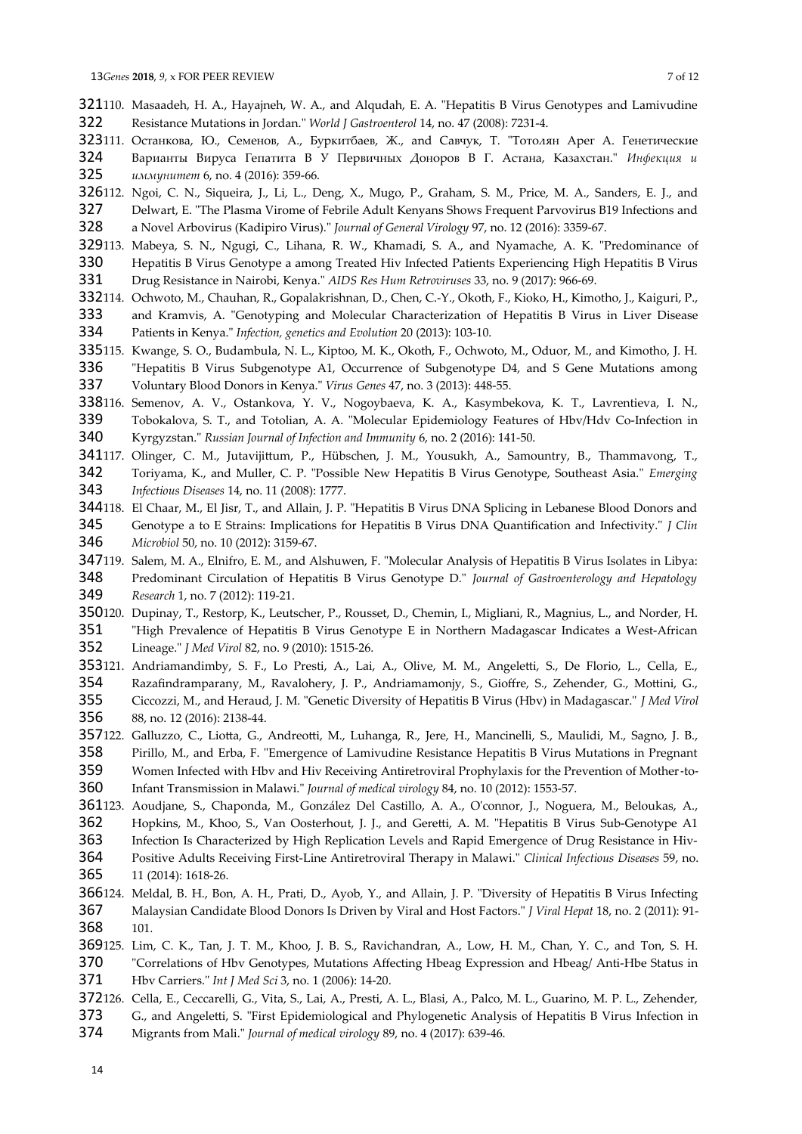- 321110. Masaadeh, H. A., Hayajneh, W. A., and Alqudah, E. A. "Hepatitis B Virus Genotypes and Lamivudine Resistance Mutations in Jordan." *World J Gastroenterol* 14, no. 47 (2008): 7231-4. 322
- 323111. Останкова, Ю., Семенов, А., Буркитбаев, Ж., and Савчук, Т. "Тотолян Арег А. Генетические
- Варианты Вируса Гепатита B У Первичных Доноров В Г. Астана, Казахстан." *Инфекция и иммунитет* 6, no. 4 (2016): 359-66. 324 325
- 326112. Ngoi, C. N., Siqueira, J., Li, L., Deng, X., Mugo, P., Graham, S. M., Price, M. A., Sanders, E. J., and Delwart, E. "The Plasma Virome of Febrile Adult Kenyans Shows Frequent Parvovirus B19 Infections and a Novel Arbovirus (Kadipiro Virus)." *Journal of General Virology* 97, no. 12 (2016): 3359-67. 327 328
- 329113. Mabeya, S. N., Ngugi, C., Lihana, R. W., Khamadi, S. A., and Nyamache, A. K. "Predominance of Hepatitis B Virus Genotype a among Treated Hiv Infected Patients Experiencing High Hepatitis B Virus 330 331
- Drug Resistance in Nairobi, Kenya." *AIDS Res Hum Retroviruses* 33, no. 9 (2017): 966-69.
- 332114. Ochwoto, M., Chauhan, R., Gopalakrishnan, D., Chen, C.-Y., Okoth, F., Kioko, H., Kimotho, J., Kaiguri, P., and Kramvis, A. "Genotyping and Molecular Characterization of Hepatitis B Virus in Liver Disease 333
- Patients in Kenya." *Infection, genetics and Evolution* 20 (2013): 103-10. 334
- 335115. Kwange, S. O., Budambula, N. L., Kiptoo, M. K., Okoth, F., Ochwoto, M., Oduor, M., and Kimotho, J. H.
- "Hepatitis B Virus Subgenotype A1, Occurrence of Subgenotype D4, and S Gene Mutations among Voluntary Blood Donors in Kenya." *Virus Genes* 47, no. 3 (2013): 448-55. 336 337
- 338116. Semenov, A. V., Ostankova, Y. V., Nogoybaeva, K. A., Kasymbekova, K. T., Lavrentieva, I. N., Tobokalova, S. T., and Totolian, A. A. "Molecular Epidemiology Features of Hbv/Hdv Co-Infection in Kyrgyzstan." *Russian Journal of Infection and Immunity* 6, no. 2 (2016): 141-50. 339 340
- 341117. Olinger, C. M., Jutavijittum, P., Hübschen, J. M., Yousukh, A., Samountry, B., Thammavong, T.,
- Toriyama, K., and Muller, C. P. "Possible New Hepatitis B Virus Genotype, Southeast Asia." *Emerging Infectious Diseases* 14, no. 11 (2008): 1777. 342 343
- 344118. El Chaar, M., El Jisr, T., and Allain, J. P. "Hepatitis B Virus DNA Splicing in Lebanese Blood Donors and Genotype a to E Strains: Implications for Hepatitis B Virus DNA Quantification and Infectivity." *J Clin Microbiol* 50, no. 10 (2012): 3159-67. 345 346
- 347119. Salem, M. A., Elnifro, E. M., and Alshuwen, F. "Molecular Analysis of Hepatitis B Virus Isolates in Libya:
- Predominant Circulation of Hepatitis B Virus Genotype D." *Journal of Gastroenterology and Hepatology Research* 1, no. 7 (2012): 119-21. 348 349
- 350120. Dupinay, T., Restorp, K., Leutscher, P., Rousset, D., Chemin, I., Migliani, R., Magnius, L., and Norder, H.
- "High Prevalence of Hepatitis B Virus Genotype E in Northern Madagascar Indicates a West-African Lineage." *J Med Virol* 82, no. 9 (2010): 1515-26. 351 352
- 353121. Andriamandimby, S. F., Lo Presti, A., Lai, A., Olive, M. M., Angeletti, S., De Florio, L., Cella, E., Razafindramparany, M., Ravalohery, J. P., Andriamamonjy, S., Gioffre, S., Zehender, G., Mottini, G., Ciccozzi, M., and Heraud, J. M. "Genetic Diversity of Hepatitis B Virus (Hbv) in Madagascar." *J Med Virol* 88, no. 12 (2016): 2138-44. 354 355 356
- 357122. Galluzzo, C., Liotta, G., Andreotti, M., Luhanga, R., Jere, H., Mancinelli, S., Maulidi, M., Sagno, J. B., Pirillo, M., and Erba, F. "Emergence of Lamivudine Resistance Hepatitis B Virus Mutations in Pregnant 358
- Women Infected with Hbv and Hiv Receiving Antiretroviral Prophylaxis for the Prevention of Mother‐to‐ 359
- Infant Transmission in Malawi." *Journal of medical virology* 84, no. 10 (2012): 1553-57. 360
- 361123. Aoudjane, S., Chaponda, M., González Del Castillo, A. A., O'connor, J., Noguera, M., Beloukas, A., Hopkins, M., Khoo, S., Van Oosterhout, J. J., and Geretti, A. M. "Hepatitis B Virus Sub-Genotype A1 362
- 363
- Infection Is Characterized by High Replication Levels and Rapid Emergence of Drug Resistance in Hiv-Positive Adults Receiving First-Line Antiretroviral Therapy in Malawi." *Clinical Infectious Diseases* 59, no. 364
- 11 (2014): 1618-26. 365
- 366124. Meldal, B. H., Bon, A. H., Prati, D., Ayob, Y., and Allain, J. P. "Diversity of Hepatitis B Virus Infecting Malaysian Candidate Blood Donors Is Driven by Viral and Host Factors." *J Viral Hepat* 18, no. 2 (2011): 91- 101. 367 368
- 369125. Lim, C. K., Tan, J. T. M., Khoo, J. B. S., Ravichandran, A., Low, H. M., Chan, Y. C., and Ton, S. H.
- "Correlations of Hbv Genotypes, Mutations Affecting Hbeag Expression and Hbeag/ Anti-Hbe Status in Hbv Carriers." *Int J Med Sci* 3, no. 1 (2006): 14-20. 370 371
- 372126. Cella, E., Ceccarelli, G., Vita, S., Lai, A., Presti, A. L., Blasi, A., Palco, M. L., Guarino, M. P. L., Zehender,
- G., and Angeletti, S. "First Epidemiological and Phylogenetic Analysis of Hepatitis B Virus Infection in 373
- Migrants from Mali." *Journal of medical virology* 89, no. 4 (2017): 639-46. 374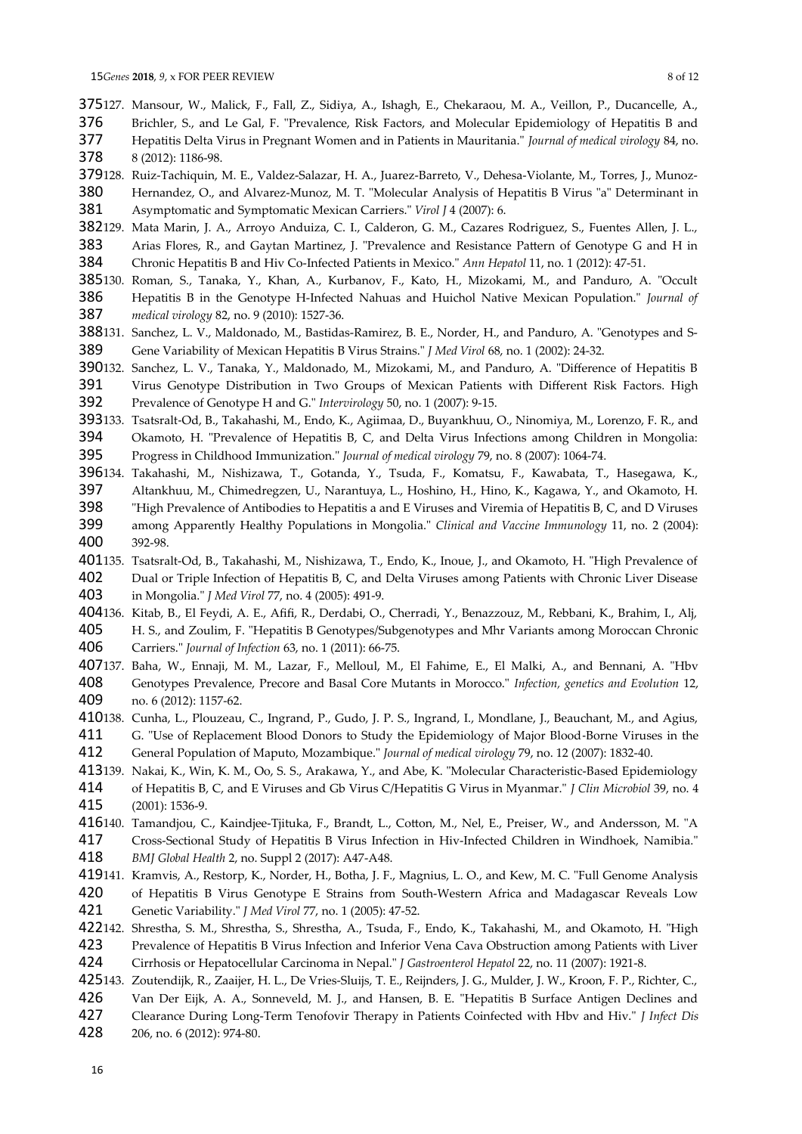- 375127. Mansour, W., Malick, F., Fall, Z., Sidiya, A., Ishagh, E., Chekaraou, M. A., Veillon, P., Ducancelle, A., Brichler, S., and Le Gal, F. "Prevalence, Risk Factors, and Molecular Epidemiology of Hepatitis B and 376
- Hepatitis Delta Virus in Pregnant Women and in Patients in Mauritania." *Journal of medical virology* 84, no. 8 (2012): 1186-98. 377 378
- 379128. Ruiz-Tachiquin, M. E., Valdez-Salazar, H. A., Juarez-Barreto, V., Dehesa-Violante, M., Torres, J., Munoz-
- Hernandez, O., and Alvarez-Munoz, M. T. "Molecular Analysis of Hepatitis B Virus "a" Determinant in Asymptomatic and Symptomatic Mexican Carriers." *Virol J* 4 (2007): 6. 380 381
- 382129. Mata Marin, J. A., Arroyo Anduiza, C. I., Calderon, G. M., Cazares Rodriguez, S., Fuentes Allen, J. L., Arias Flores, R., and Gaytan Martinez, J. "Prevalence and Resistance Pattern of Genotype G and H in Chronic Hepatitis B and Hiv Co-Infected Patients in Mexico." *Ann Hepatol* 11, no. 1 (2012): 47-51. 383 384
- 385130. Roman, S., Tanaka, Y., Khan, A., Kurbanov, F., Kato, H., Mizokami, M., and Panduro, A. "Occult
- Hepatitis B in the Genotype H-Infected Nahuas and Huichol Native Mexican Population." *Journal of medical virology* 82, no. 9 (2010): 1527-36. 386 387
- Sanchez, L. V., Maldonado, M., Bastidas-Ramirez, B. E., Norder, H., and Panduro, A. "Genotypes and S-Gene Variability of Mexican Hepatitis B Virus Strains." *J Med Virol* 68, no. 1 (2002): 24-32. 388131. 389
- 390132. Sanchez, L. V., Tanaka, Y., Maldonado, M., Mizokami, M., and Panduro, A. "Difference of Hepatitis B Virus Genotype Distribution in Two Groups of Mexican Patients with Different Risk Factors. High 391
- Prevalence of Genotype H and G." *Intervirology* 50, no. 1 (2007): 9-15. 392
- 393133. Tsatsralt-Od, B., Takahashi, M., Endo, K., Agiimaa, D., Buyankhuu, O., Ninomiya, M., Lorenzo, F. R., and Okamoto, H. "Prevalence of Hepatitis B, C, and Delta Virus Infections among Children in Mongolia: 394
- Progress in Childhood Immunization." *Journal of medical virology* 79, no. 8 (2007): 1064-74. 395
- 396134. Takahashi, M., Nishizawa, T., Gotanda, Y., Tsuda, F., Komatsu, F., Kawabata, T., Hasegawa, K.,
- Altankhuu, M., Chimedregzen, U., Narantuya, L., Hoshino, H., Hino, K., Kagawa, Y., and Okamoto, H. "High Prevalence of Antibodies to Hepatitis a and E Viruses and Viremia of Hepatitis B, C, and D Viruses among Apparently Healthy Populations in Mongolia." *Clinical and Vaccine Immunology* 11, no. 2 (2004): 397 398 399
- 392-98. 400
- 401135. Tsatsralt-Od, B., Takahashi, M., Nishizawa, T., Endo, K., Inoue, J., and Okamoto, H. "High Prevalence of
- Dual or Triple Infection of Hepatitis B, C, and Delta Viruses among Patients with Chronic Liver Disease in Mongolia." *J Med Virol* 77, no. 4 (2005): 491-9. 402 403
- 404136. Kitab, B., El Feydi, A. E., Afifi, R., Derdabi, O., Cherradi, Y., Benazzouz, M., Rebbani, K., Brahim, I., Alj,
- H. S., and Zoulim, F. "Hepatitis B Genotypes/Subgenotypes and Mhr Variants among Moroccan Chronic Carriers." *Journal of Infection* 63, no. 1 (2011): 66-75. 405 406
- 407137. Baha, W., Ennaji, M. M., Lazar, F., Melloul, M., El Fahime, E., El Malki, A., and Bennani, A. "Hbv Genotypes Prevalence, Precore and Basal Core Mutants in Morocco." *Infection, genetics and Evolution* 12, no. 6 (2012): 1157-62. 408 409
- 410138. Cunha, L., Plouzeau, C., Ingrand, P., Gudo, J. P. S., Ingrand, I., Mondlane, J., Beauchant, M., and Agius, G. "Use of Replacement Blood Donors to Study the Epidemiology of Major Blood‐Borne Viruses in the 411
- General Population of Maputo, Mozambique." *Journal of medical virology* 79, no. 12 (2007): 1832-40. 412
- 413139. Nakai, K., Win, K. M., Oo, S. S., Arakawa, Y., and Abe, K. "Molecular Characteristic-Based Epidemiology of Hepatitis B, C, and E Viruses and Gb Virus C/Hepatitis G Virus in Myanmar." *J Clin Microbiol* 39, no. 4 (2001): 1536-9. 414 415
- 416140. Tamandjou, C., Kaindjee-Tjituka, F., Brandt, L., Cotton, M., Nel, E., Preiser, W., and Andersson, M. "A
- Cross-Sectional Study of Hepatitis B Virus Infection in Hiv-Infected Children in Windhoek, Namibia." *BMJ Global Health* 2, no. Suppl 2 (2017): A47-A48. 417 418
- 419141. Kramvis, A., Restorp, K., Norder, H., Botha, J. F., Magnius, L. O., and Kew, M. C. "Full Genome Analysis
- of Hepatitis B Virus Genotype E Strains from South-Western Africa and Madagascar Reveals Low Genetic Variability." *J Med Virol* 77, no. 1 (2005): 47-52. 420 421
- 422142. Shrestha, S. M., Shrestha, S., Shrestha, A., Tsuda, F., Endo, K., Takahashi, M., and Okamoto, H. "High 423
- Prevalence of Hepatitis B Virus Infection and Inferior Vena Cava Obstruction among Patients with Liver 424
- Cirrhosis or Hepatocellular Carcinoma in Nepal." *J Gastroenterol Hepatol* 22, no. 11 (2007): 1921-8.
- 425143. Zoutendijk, R., Zaaijer, H. L., De Vries-Sluijs, T. E., Reijnders, J. G., Mulder, J. W., Kroon, F. P., Richter, C.,
- Van Der Eijk, A. A., Sonneveld, M. J., and Hansen, B. E. "Hepatitis B Surface Antigen Declines and Clearance During Long-Term Tenofovir Therapy in Patients Coinfected with Hbv and Hiv." *J Infect Dis* 426 427
- 206, no. 6 (2012): 974-80. 428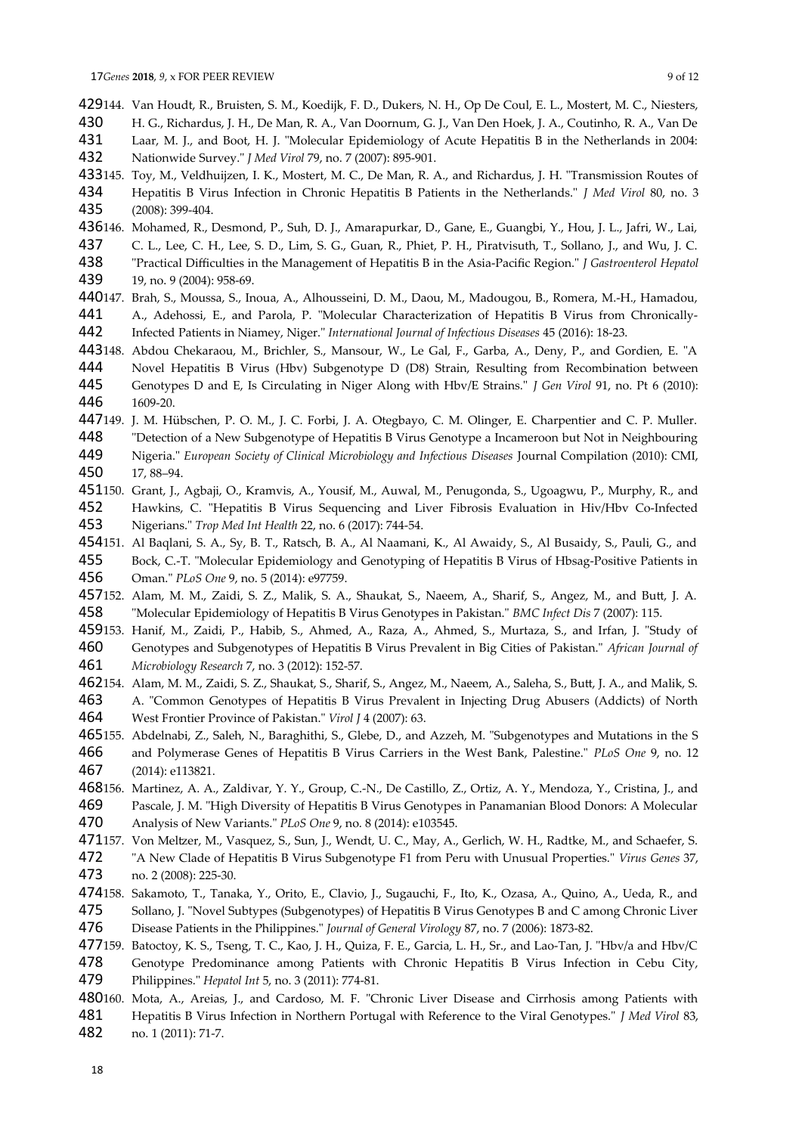- 429144. Van Houdt, R., Bruisten, S. M., Koedijk, F. D., Dukers, N. H., Op De Coul, E. L., Mostert, M. C., Niesters,
- H. G., Richardus, J. H., De Man, R. A., Van Doornum, G. J., Van Den Hoek, J. A., Coutinho, R. A., Van De 430
- Laar, M. J., and Boot, H. J. "Molecular Epidemiology of Acute Hepatitis B in the Netherlands in 2004: Nationwide Survey." *J Med Virol* 79, no. 7 (2007): 895-901. 431 432
- 433145. Toy, M., Veldhuijzen, I. K., Mostert, M. C., De Man, R. A., and Richardus, J. H. "Transmission Routes of Hepatitis B Virus Infection in Chronic Hepatitis B Patients in the Netherlands." *J Med Virol* 80, no. 3 (2008): 399-404. 434 435
- 436146. Mohamed, R., Desmond, P., Suh, D. J., Amarapurkar, D., Gane, E., Guangbi, Y., Hou, J. L., Jafri, W., Lai,
- C. L., Lee, C. H., Lee, S. D., Lim, S. G., Guan, R., Phiet, P. H., Piratvisuth, T., Sollano, J., and Wu, J. C. 437
- "Practical Difficulties in the Management of Hepatitis B in the Asia-Pacific Region." *J Gastroenterol Hepatol* 19, no. 9 (2004): 958-69. 438 439
- 440147. Brah, S., Moussa, S., Inoua, A., Alhousseini, D. M., Daou, M., Madougou, B., Romera, M.-H., Hamadou, A., Adehossi, E., and Parola, P. "Molecular Characterization of Hepatitis B Virus from Chronically-441
- Infected Patients in Niamey, Niger." *International Journal of Infectious Diseases* 45 (2016): 18-23. 442
- 443148. Abdou Chekaraou, M., Brichler, S., Mansour, W., Le Gal, F., Garba, A., Deny, P., and Gordien, E. "A Novel Hepatitis B Virus (Hbv) Subgenotype D (D8) Strain, Resulting from Recombination between Genotypes D and E, Is Circulating in Niger Along with Hbv/E Strains." *J Gen Virol* 91, no. Pt 6 (2010): 1609-20. 444 445 446
- 447149. J. M. Hübschen, P. O. M., J. C. Forbi, J. A. Otegbayo, C. M. Olinger, E. Charpentier and C. P. Muller. "Detection of a New Subgenotype of Hepatitis B Virus Genotype a Incameroon but Not in Neighbouring 448
- Nigeria." *European Society of Clinical Microbiology and Infectious Diseases* Journal Compilation (2010): CMI, 17, 88–94. 449 450
- 451150. Grant, J., Agbaji, O., Kramvis, A., Yousif, M., Auwal, M., Penugonda, S., Ugoagwu, P., Murphy, R., and Hawkins, C. "Hepatitis B Virus Sequencing and Liver Fibrosis Evaluation in Hiv/Hbv Co-Infected Nigerians." *Trop Med Int Health* 22, no. 6 (2017): 744-54. 452 453
- 454151. Al Baqlani, S. A., Sy, B. T., Ratsch, B. A., Al Naamani, K., Al Awaidy, S., Al Busaidy, S., Pauli, G., and
- Bock, C.-T. "Molecular Epidemiology and Genotyping of Hepatitis B Virus of Hbsag-Positive Patients in Oman." *PLoS One* 9, no. 5 (2014): e97759. 455 456
- 457152. Alam, M. M., Zaidi, S. Z., Malik, S. A., Shaukat, S., Naeem, A., Sharif, S., Angez, M., and Butt, J. A. "Molecular Epidemiology of Hepatitis B Virus Genotypes in Pakistan." *BMC Infect Dis* 7 (2007): 115. 458
- 459153. Hanif, M., Zaidi, P., Habib, S., Ahmed, A., Raza, A., Ahmed, S., Murtaza, S., and Irfan, J. "Study of Genotypes and Subgenotypes of Hepatitis B Virus Prevalent in Big Cities of Pakistan." *African Journal of Microbiology Research* 7, no. 3 (2012): 152-57. 460 461
- 462154. Alam, M. M., Zaidi, S. Z., Shaukat, S., Sharif, S., Angez, M., Naeem, A., Saleha, S., Butt, J. A., and Malik, S.
- A. "Common Genotypes of Hepatitis B Virus Prevalent in Injecting Drug Abusers (Addicts) of North West Frontier Province of Pakistan." *Virol J* 4 (2007): 63. 463 464
- 465155. Abdelnabi, Z., Saleh, N., Baraghithi, S., Glebe, D., and Azzeh, M. "Subgenotypes and Mutations in the S and Polymerase Genes of Hepatitis B Virus Carriers in the West Bank, Palestine." *PLoS One* 9, no. 12 (2014): e113821. 466 467
- 468156. Martinez, A. A., Zaldivar, Y. Y., Group, C.-N., De Castillo, Z., Ortiz, A. Y., Mendoza, Y., Cristina, J., and Pascale, J. M. "High Diversity of Hepatitis B Virus Genotypes in Panamanian Blood Donors: A Molecular Analysis of New Variants." *PLoS One* 9, no. 8 (2014): e103545. 469 470
- 471157. Von Meltzer, M., Vasquez, S., Sun, J., Wendt, U. C., May, A., Gerlich, W. H., Radtke, M., and Schaefer, S.
- "A New Clade of Hepatitis B Virus Subgenotype F1 from Peru with Unusual Properties." *Virus Genes* 37, no. 2 (2008): 225-30. 472 473
- 474158. Sakamoto, T., Tanaka, Y., Orito, E., Clavio, J., Sugauchi, F., Ito, K., Ozasa, A., Quino, A., Ueda, R., and Sollano, J. "Novel Subtypes (Subgenotypes) of Hepatitis B Virus Genotypes B and C among Chronic Liver Disease Patients in the Philippines." *Journal of General Virology* 87, no. 7 (2006): 1873-82. 475 476
- 477159. Batoctoy, K. S., Tseng, T. C., Kao, J. H., Quiza, F. E., Garcia, L. H., Sr., and Lao-Tan, J. "Hbv/a and Hbv/C
- Genotype Predominance among Patients with Chronic Hepatitis B Virus Infection in Cebu City, 478
- Philippines." *Hepatol Int* 5, no. 3 (2011): 774-81. 479
- 480160. Mota, A., Areias, J., and Cardoso, M. F. "Chronic Liver Disease and Cirrhosis among Patients with
- Hepatitis B Virus Infection in Northern Portugal with Reference to the Viral Genotypes." *J Med Virol* 83, no. 1 (2011): 71-7. 481 482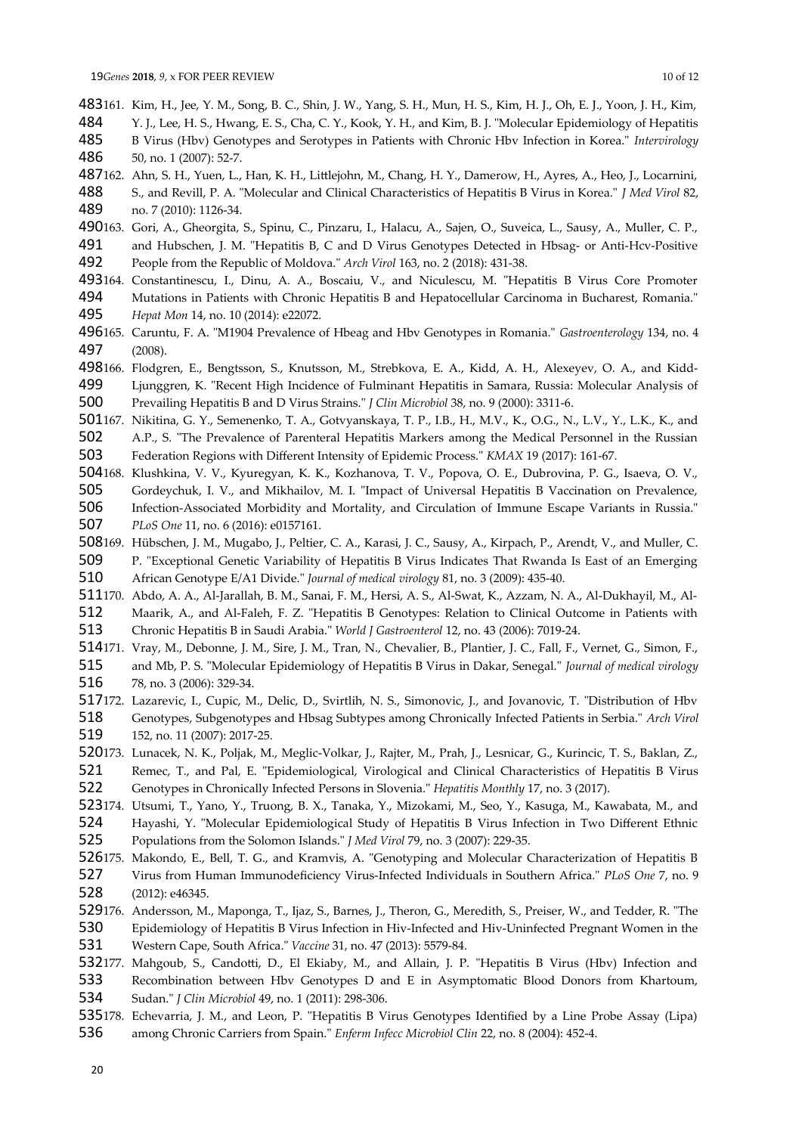483161. Kim, H., Jee, Y. M., Song, B. C., Shin, J. W., Yang, S. H., Mun, H. S., Kim, H. J., Oh, E. J., Yoon, J. H., Kim, Y. J., Lee, H. S., Hwang, E. S., Cha, C. Y., Kook, Y. H., and Kim, B. J. "Molecular Epidemiology of Hepatitis B Virus (Hbv) Genotypes and Serotypes in Patients with Chronic Hbv Infection in Korea." *Intervirology* 50, no. 1 (2007): 52-7. 484 485 486

487162. Ahn, S. H., Yuen, L., Han, K. H., Littlejohn, M., Chang, H. Y., Damerow, H., Ayres, A., Heo, J., Locarnini, S., and Revill, P. A. "Molecular and Clinical Characteristics of Hepatitis B Virus in Korea." *J Med Virol* 82, no. 7 (2010): 1126-34. 488 489

490163. Gori, A., Gheorgita, S., Spinu, C., Pinzaru, I., Halacu, A., Sajen, O., Suveica, L., Sausy, A., Muller, C. P., and Hubschen, J. M. "Hepatitis B, C and D Virus Genotypes Detected in Hbsag- or Anti-Hcv-Positive People from the Republic of Moldova." *Arch Virol* 163, no. 2 (2018): 431-38. 491 492

- 493164. Constantinescu, I., Dinu, A. A., Boscaiu, V., and Niculescu, M. "Hepatitis B Virus Core Promoter
- Mutations in Patients with Chronic Hepatitis B and Hepatocellular Carcinoma in Bucharest, Romania." *Hepat Mon* 14, no. 10 (2014): e22072. 494 495
- 496165. Caruntu, F. A. "M1904 Prevalence of Hbeag and Hbv Genotypes in Romania." *Gastroenterology* 134, no. 4 (2008). 497
- 498166. Flodgren, E., Bengtsson, S., Knutsson, M., Strebkova, E. A., Kidd, A. H., Alexeyev, O. A., and Kidd-Ljunggren, K. "Recent High Incidence of Fulminant Hepatitis in Samara, Russia: Molecular Analysis of 499

Prevailing Hepatitis B and D Virus Strains." *J Clin Microbiol* 38, no. 9 (2000): 3311-6. 500

501167. Nikitina, G. Y., Semenenko, T. A., Gotvyanskaya, T. P., I.B., H., M.V., K., O.G., N., L.V., Y., L.K., K., and A.P., S. "The Prevalence of Parenteral Hepatitis Markers among the Medical Personnel in the Russian 502

Federation Regions with Different Intensity of Epidemic Process." *KMAX* 19 (2017): 161-67. 503

- 504168. Klushkina, V. V., Kyuregyan, K. K., Kozhanova, T. V., Popova, O. E., Dubrovina, P. G., Isaeva, O. V.,
- Gordeychuk, I. V., and Mikhailov, M. I. "Impact of Universal Hepatitis B Vaccination on Prevalence, Infection-Associated Morbidity and Mortality, and Circulation of Immune Escape Variants in Russia." *PLoS One* 11, no. 6 (2016): e0157161. 505 506 507
- 508169. Hübschen, J. M., Mugabo, J., Peltier, C. A., Karasi, J. C., Sausy, A., Kirpach, P., Arendt, V., and Muller, C.
- P. "Exceptional Genetic Variability of Hepatitis B Virus Indicates That Rwanda Is East of an Emerging 509

African Genotype E/A1 Divide." *Journal of medical virology* 81, no. 3 (2009): 435-40. 510

511170. Abdo, A. A., Al-Jarallah, B. M., Sanai, F. M., Hersi, A. S., Al-Swat, K., Azzam, N. A., Al-Dukhayil, M., Al-Maarik, A., and Al-Faleh, F. Z. "Hepatitis B Genotypes: Relation to Clinical Outcome in Patients with 512

Chronic Hepatitis B in Saudi Arabia." *World J Gastroenterol* 12, no. 43 (2006): 7019-24. 513

- 514171. Vray, M., Debonne, J. M., Sire, J. M., Tran, N., Chevalier, B., Plantier, J. C., Fall, F., Vernet, G., Simon, F., and Mb, P. S. "Molecular Epidemiology of Hepatitis B Virus in Dakar, Senegal." *Journal of medical virology* 78, no. 3 (2006): 329-34. 515 516
- 517172. Lazarevic, I., Cupic, M., Delic, D., Svirtlih, N. S., Simonovic, J., and Jovanovic, T. "Distribution of Hbv Genotypes, Subgenotypes and Hbsag Subtypes among Chronically Infected Patients in Serbia." *Arch Virol* 152, no. 11 (2007): 2017-25. 518 519
- 520173. Lunacek, N. K., Poljak, M., Meglic-Volkar, J., Rajter, M., Prah, J., Lesnicar, G., Kurincic, T. S., Baklan, Z.,
- Remec, T., and Pal, E. "Epidemiological, Virological and Clinical Characteristics of Hepatitis B Virus Genotypes in Chronically Infected Persons in Slovenia." *Hepatitis Monthly* 17, no. 3 (2017). 521 522
- 523174. Utsumi, T., Yano, Y., Truong, B. X., Tanaka, Y., Mizokami, M., Seo, Y., Kasuga, M., Kawabata, M., and Hayashi, Y. "Molecular Epidemiological Study of Hepatitis B Virus Infection in Two Different Ethnic 524

Populations from the Solomon Islands." *J Med Virol* 79, no. 3 (2007): 229-35. 525

- 526175. Makondo, E., Bell, T. G., and Kramvis, A. "Genotyping and Molecular Characterization of Hepatitis B Virus from Human Immunodeficiency Virus-Infected Individuals in Southern Africa." *PLoS One* 7, no. 9 (2012): e46345. 527 528
- 529176. Andersson, M., Maponga, T., Ijaz, S., Barnes, J., Theron, G., Meredith, S., Preiser, W., and Tedder, R. "The Epidemiology of Hepatitis B Virus Infection in Hiv-Infected and Hiv-Uninfected Pregnant Women in the Western Cape, South Africa." *Vaccine* 31, no. 47 (2013): 5579-84. 530 531
- 532177. Mahgoub, S., Candotti, D., El Ekiaby, M., and Allain, J. P. "Hepatitis B Virus (Hbv) Infection and
- Recombination between Hbv Genotypes D and E in Asymptomatic Blood Donors from Khartoum, 533
- Sudan." *J Clin Microbiol* 49, no. 1 (2011): 298-306. 534
- 535178. Echevarria, J. M., and Leon, P. "Hepatitis B Virus Genotypes Identified by a Line Probe Assay (Lipa)
- among Chronic Carriers from Spain." *Enferm Infecc Microbiol Clin* 22, no. 8 (2004): 452-4. 536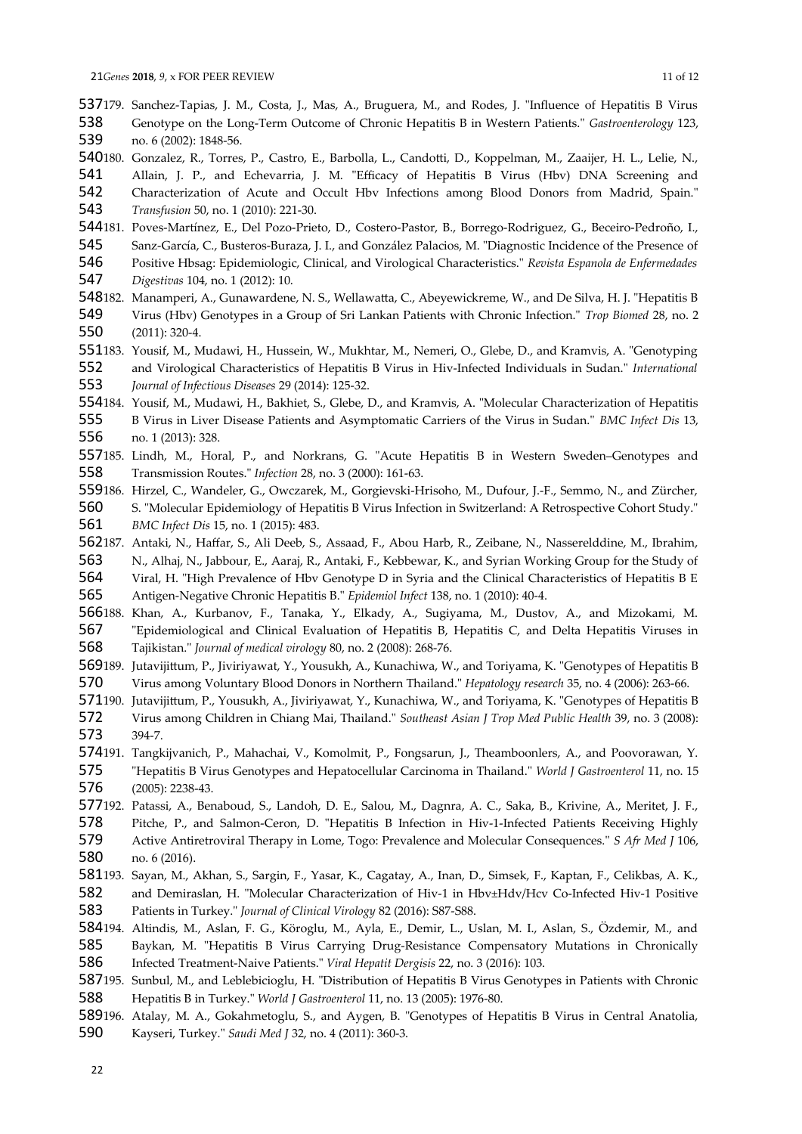537179. Sanchez-Tapias, J. M., Costa, J., Mas, A., Bruguera, M., and Rodes, J. "Influence of Hepatitis B Virus Genotype on the Long-Term Outcome of Chronic Hepatitis B in Western Patients." *Gastroenterology* 123, no. 6 (2002): 1848-56. 538 539

540180. Gonzalez, R., Torres, P., Castro, E., Barbolla, L., Candotti, D., Koppelman, M., Zaaijer, H. L., Lelie, N.,

Allain, J. P., and Echevarria, J. M. "Efficacy of Hepatitis B Virus (Hbv) DNA Screening and Characterization of Acute and Occult Hbv Infections among Blood Donors from Madrid, Spain." *Transfusion* 50, no. 1 (2010): 221-30. 541 542 543

544181. Poves-Martínez, E., Del Pozo-Prieto, D., Costero-Pastor, B., Borrego-Rodriguez, G., Beceiro-Pedroño, I., Sanz-García, C., Busteros-Buraza, J. I., and González Palacios, M. "Diagnostic Incidence of the Presence of Positive Hbsag: Epidemiologic, Clinical, and Virological Characteristics." *Revista Espanola de Enfermedades* 545 546

*Digestivas* 104, no. 1 (2012): 10. 547

- 182. Manamperi, A., Gunawardene, N. S., Wellawatta, C., Abeyewickreme, W., and De Silva, H. J. "Hepatitis B Virus (Hbv) Genotypes in a Group of Sri Lankan Patients with Chronic Infection." *Trop Biomed* 28, no. 2 (2011): 320-4. 548182. 549 550
- 551183. Yousif, M., Mudawi, H., Hussein, W., Mukhtar, M., Nemeri, O., Glebe, D., and Kramvis, A. "Genotyping and Virological Characteristics of Hepatitis B Virus in Hiv-Infected Individuals in Sudan." *International Journal of Infectious Diseases* 29 (2014): 125-32. 552 553
- 554184. Yousif, M., Mudawi, H., Bakhiet, S., Glebe, D., and Kramvis, A. "Molecular Characterization of Hepatitis
- B Virus in Liver Disease Patients and Asymptomatic Carriers of the Virus in Sudan." *BMC Infect Dis* 13, no. 1 (2013): 328. 555 556
- 557185. Lindh, M., Horal, P., and Norkrans, G. "Acute Hepatitis B in Western Sweden-Genotypes and Transmission Routes." *Infection* 28, no. 3 (2000): 161-63. 558
- 559186. Hirzel, C., Wandeler, G., Owczarek, M., Gorgievski-Hrisoho, M., Dufour, J.-F., Semmo, N., and Zürcher,

S. "Molecular Epidemiology of Hepatitis B Virus Infection in Switzerland: A Retrospective Cohort Study." *BMC Infect Dis* 15, no. 1 (2015): 483. 560 561

562187. Antaki, N., Haffar, S., Ali Deeb, S., Assaad, F., Abou Harb, R., Zeibane, N., Nasserelddine, M., Ibrahim,

N., Alhaj, N., Jabbour, E., Aaraj, R., Antaki, F., Kebbewar, K., and Syrian Working Group for the Study of Viral, H. "High Prevalence of Hbv Genotype D in Syria and the Clinical Characteristics of Hepatitis B E 563 564

Antigen-Negative Chronic Hepatitis B." *Epidemiol Infect* 138, no. 1 (2010): 40-4. 565

566188. Khan, A., Kurbanov, F., Tanaka, Y., Elkady, A., Sugiyama, M., Dustov, A., and Mizokami, M. "Epidemiological and Clinical Evaluation of Hepatitis B, Hepatitis C, and Delta Hepatitis Viruses in Tajikistan." *Journal of medical virology* 80, no. 2 (2008): 268-76. 567 568

- 569189. Jutavijittum, P., Jiviriyawat, Y., Yousukh, A., Kunachiwa, W., and Toriyama, K. "Genotypes of Hepatitis B Virus among Voluntary Blood Donors in Northern Thailand." *Hepatology research* 35, no. 4 (2006): 263-66. 570
- 571190. Jutavijittum, P., Yousukh, A., Jiviriyawat, Y., Kunachiwa, W., and Toriyama, K. "Genotypes of Hepatitis B Virus among Children in Chiang Mai, Thailand." *Southeast Asian J Trop Med Public Health* 39, no. 3 (2008): 394-7. 572 573
- 574191. Tangkijvanich, P., Mahachai, V., Komolmit, P., Fongsarun, J., Theamboonlers, A., and Poovorawan, Y. "Hepatitis B Virus Genotypes and Hepatocellular Carcinoma in Thailand." *World J Gastroenterol* 11, no. 15 (2005): 2238-43. 575 576
- 577192. Patassi, A., Benaboud, S., Landoh, D. E., Salou, M., Dagnra, A. C., Saka, B., Krivine, A., Meritet, J. F., Pitche, P., and Salmon-Ceron, D. "Hepatitis B Infection in Hiv-1-Infected Patients Receiving Highly Active Antiretroviral Therapy in Lome, Togo: Prevalence and Molecular Consequences." *S Afr Med J* 106, 578 579
- no. 6 (2016). 580
- 581193. Sayan, M., Akhan, S., Sargin, F., Yasar, K., Cagatay, A., Inan, D., Simsek, F., Kaptan, F., Celikbas, A. K.,

and Demiraslan, H. "Molecular Characterization of Hiv-1 in Hbv±Hdv/Hcv Co-Infected Hiv-1 Positive Patients in Turkey." *Journal of Clinical Virology* 82 (2016): S87-S88. 582 583

584194. Altindis, M., Aslan, F. G., Köroglu, M., Ayla, E., Demir, L., Uslan, M. I., Aslan, S., Özdemir, M., and Baykan, M. "Hepatitis B Virus Carrying Drug-Resistance Compensatory Mutations in Chronically Infected Treatment-Naive Patients." *Viral Hepatit Dergisis* 22, no. 3 (2016): 103. 585 586

587195. Sunbul, M., and Leblebicioglu, H. "Distribution of Hepatitis B Virus Genotypes in Patients with Chronic Hepatitis B in Turkey." *World J Gastroenterol* 11, no. 13 (2005): 1976-80. 588

589196. Atalay, M. A., Gokahmetoglu, S., and Aygen, B. "Genotypes of Hepatitis B Virus in Central Anatolia,

Kayseri, Turkey." *Saudi Med J* 32, no. 4 (2011): 360-3. 590